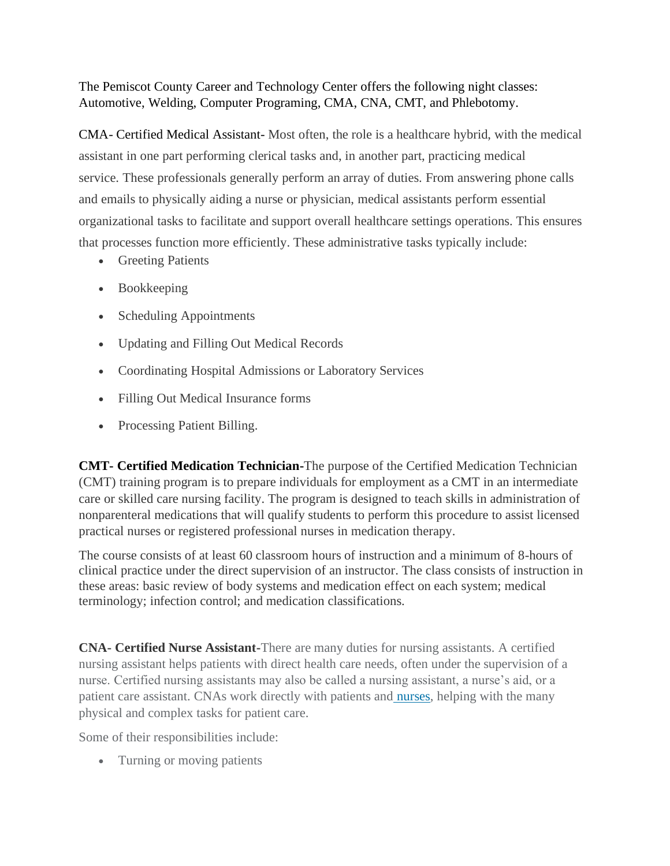The Pemiscot County Career and Technology Center offers the following night classes: Automotive, Welding, Computer Programing, CMA, CNA, CMT, and Phlebotomy.

CMA- Certified Medical Assistant- Most often, the role is a healthcare hybrid, with the medical assistant in one part performing clerical tasks and, in another part, practicing medical service. These professionals generally perform an array of duties. From answering phone calls and emails to physically aiding a nurse or physician, medical assistants perform essential organizational tasks to facilitate and support overall healthcare settings operations. This ensures that processes function more efficiently. These administrative tasks typically include:

- Greeting Patients
- Bookkeeping
- Scheduling Appointments
- Updating and Filling Out Medical Records
- Coordinating Hospital Admissions or Laboratory Services
- Filling Out Medical Insurance forms
- Processing Patient Billing.

**CMT- Certified Medication Technician-**The purpose of the Certified Medication Technician (CMT) training program is to prepare individuals for employment as a CMT in an intermediate care or skilled care nursing facility. The program is designed to teach skills in administration of nonparenteral medications that will qualify students to perform this procedure to assist licensed practical nurses or registered professional nurses in medication therapy.

The course consists of at least 60 classroom hours of instruction and a minimum of 8-hours of clinical practice under the direct supervision of an instructor. The class consists of instruction in these areas: basic review of body systems and medication effect on each system; medical terminology; infection control; and medication classifications.

**CNA- Certified Nurse Assistant-**There are many duties for nursing assistants. A certified nursing assistant helps patients with direct health care needs, often under the supervision of a nurse. Certified nursing assistants may also be called a nursing assistant, a nurse's aid, or a patient care assistant. CNAs work directly with patients and **nurses**, helping with the many physical and complex tasks for patient care.

Some of their responsibilities include:

• Turning or moving patients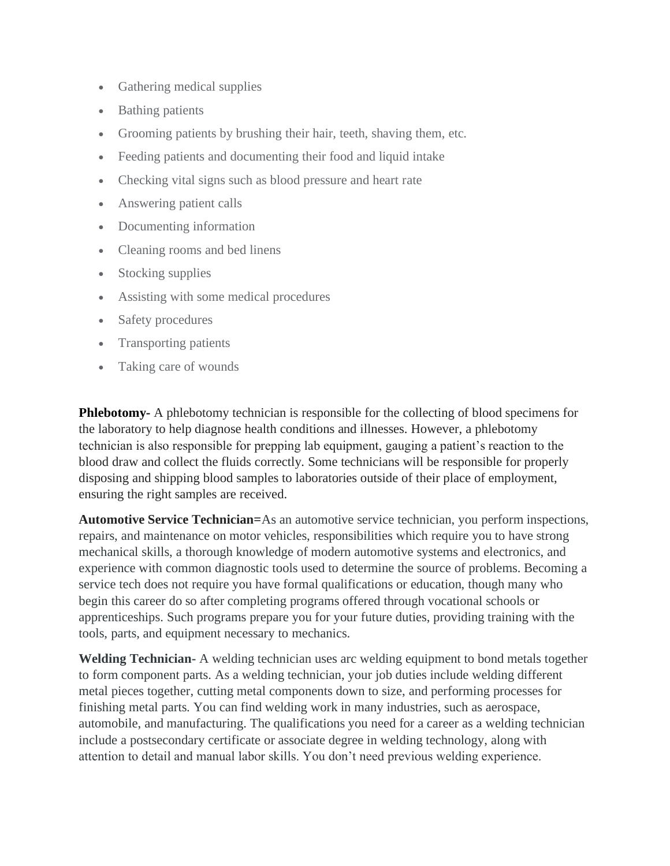- Gathering medical supplies
- Bathing patients
- Grooming patients by brushing their hair, teeth, shaving them, etc.
- Feeding patients and documenting their food and liquid intake
- Checking vital signs such as blood pressure and heart rate
- Answering patient calls
- Documenting information
- Cleaning rooms and bed linens
- Stocking supplies
- Assisting with some medical procedures
- Safety procedures
- Transporting patients
- Taking care of wounds

**Phlebotomy-** A phlebotomy technician is responsible for the collecting of blood specimens for the laboratory to help diagnose health conditions and illnesses. However, a phlebotomy technician is also responsible for prepping lab equipment, gauging a patient's reaction to the blood draw and collect the fluids correctly. Some technicians will be responsible for properly disposing and shipping blood samples to laboratories outside of their place of employment, ensuring the right samples are received.

**Automotive Service Technician=**As an automotive service technician, you perform inspections, repairs, and maintenance on motor vehicles, responsibilities which require you to have strong mechanical skills, a thorough knowledge of modern automotive systems and electronics, and experience with common diagnostic tools used to determine the source of problems. Becoming a service tech does not require you have formal qualifications or education, though many who begin this career do so after completing programs offered through vocational schools or apprenticeships. Such programs prepare you for your future duties, providing training with the tools, parts, and equipment necessary to mechanics.

**Welding Technician-** A welding technician uses arc welding equipment to bond metals together to form component parts. As a welding technician, your job duties include welding different metal pieces together, cutting metal components down to size, and performing processes for finishing metal parts. You can find welding work in many industries, such as aerospace, automobile, and manufacturing. The qualifications you need for a career as a welding technician include a postsecondary certificate or associate degree in welding technology, along with attention to detail and manual labor skills. You don't need previous welding experience.